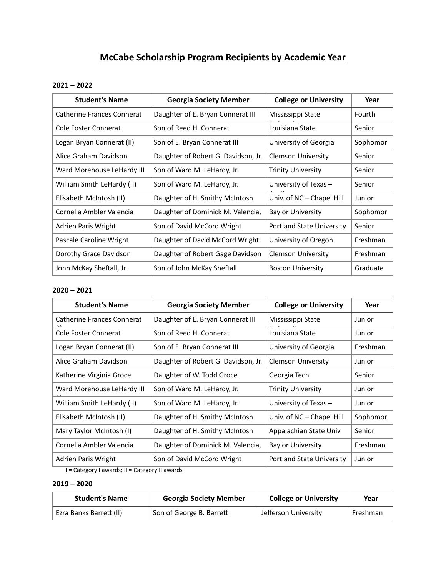# **McCabe Scholarship Program Recipients by Academic Year**

# **2021 – 2022**

| <b>Student's Name</b>             | <b>Georgia Society Member</b>       | <b>College or University</b>     | Year     |
|-----------------------------------|-------------------------------------|----------------------------------|----------|
| <b>Catherine Frances Connerat</b> | Daughter of E. Bryan Connerat III   | Mississippi State                | Fourth   |
| Cole Foster Connerat              | Son of Reed H. Connerat             | Louisiana State                  | Senior   |
| Logan Bryan Connerat (II)         | Son of E. Bryan Connerat III        | University of Georgia            | Sophomor |
| Alice Graham Davidson             | Daughter of Robert G. Davidson, Jr. | <b>Clemson University</b>        | Senior   |
| Ward Morehouse LeHardy III        | Son of Ward M. LeHardy, Jr.         | <b>Trinity University</b>        | Senior   |
| William Smith LeHardy (II)        | Son of Ward M. LeHardy, Jr.         | University of Texas -            | Senior   |
| Elisabeth McIntosh (II)           | Daughter of H. Smithy McIntosh      | Univ. of NC – Chapel Hill        | Junior   |
| Cornelia Ambler Valencia          | Daughter of Dominick M. Valencia,   | <b>Baylor University</b>         | Sophomor |
| Adrien Paris Wright               | Son of David McCord Wright          | <b>Portland State University</b> | Senior   |
| Pascale Caroline Wright           | Daughter of David McCord Wright     | University of Oregon             | Freshman |
| Dorothy Grace Davidson            | Daughter of Robert Gage Davidson    | <b>Clemson University</b>        | Freshman |
| John McKay Sheftall, Jr.          | Son of John McKay Sheftall          | <b>Boston University</b>         | Graduate |

# **2020 – 2021**

| <b>Student's Name</b>             | <b>Georgia Society Member</b>       | <b>College or University</b>     | Year     |
|-----------------------------------|-------------------------------------|----------------------------------|----------|
| <b>Catherine Frances Connerat</b> | Daughter of E. Bryan Connerat III   | Mississippi State                | Junior   |
| Cole Foster Connerat              | Son of Reed H. Connerat             | Louisiana State                  | Junior   |
| Logan Bryan Connerat (II)         | Son of E. Bryan Connerat III        | University of Georgia            | Freshman |
| Alice Graham Davidson             | Daughter of Robert G. Davidson, Jr. | <b>Clemson University</b>        | Junior   |
| Katherine Virginia Groce          | Daughter of W. Todd Groce           | Georgia Tech                     | Senior   |
| Ward Morehouse LeHardy III        | Son of Ward M. LeHardy, Jr.         | <b>Trinity University</b>        | Junior   |
| William Smith LeHardy (II)        | Son of Ward M. LeHardy, Jr.         | University of Texas -            | Junior   |
| Elisabeth McIntosh (II)           | Daughter of H. Smithy McIntosh      | Univ. of NC - Chapel Hill        | Sophomor |
| Mary Taylor McIntosh (I)          | Daughter of H. Smithy McIntosh      | Appalachian State Univ.          | Senior   |
| Cornelia Ambler Valencia          | Daughter of Dominick M. Valencia,   | <b>Baylor University</b>         | Freshman |
| <b>Adrien Paris Wright</b>        | Son of David McCord Wright          | <b>Portland State University</b> | Junior   |

I = Category I awards; II = Category II awards

# **2019 – 2020**

| <b>Student's Name</b>   | <b>Georgia Society Member</b> | <b>College or University</b> | Year     |
|-------------------------|-------------------------------|------------------------------|----------|
| Ezra Banks Barrett (II) | Son of George B. Barrett      | Jefferson University         | Freshman |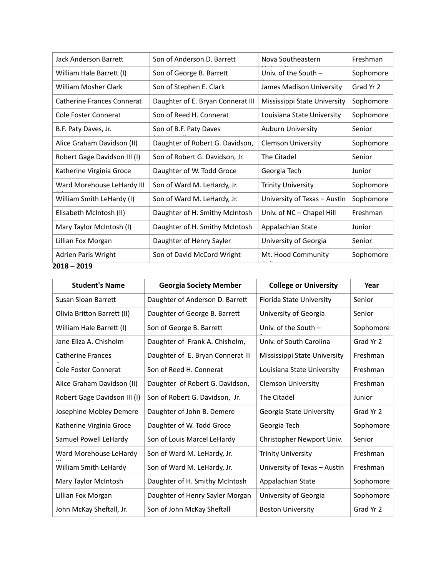| Jack Anderson Barrett             | Son of Anderson D. Barrett        | Nova Southeastern            | Freshman  |
|-----------------------------------|-----------------------------------|------------------------------|-----------|
| William Hale Barrett (I)          | Son of George B. Barrett          | Univ. of the South $-$       | Sophomore |
| William Mosher Clark              | Son of Stephen E. Clark           | James Madison University     | Grad Yr 2 |
| <b>Catherine Frances Connerat</b> | Daughter of E. Bryan Connerat III | Mississippi State University | Sophomore |
| Cole Foster Connerat              | Son of Reed H. Connerat           | Louisiana State University   | Sophomore |
| B.F. Paty Daves, Jr.              | Son of B.F. Paty Daves            | <b>Auburn University</b>     | Senior    |
| Alice Graham Davidson (II)        | Daughter of Robert G. Davidson,   | <b>Clemson University</b>    | Sophomore |
| Robert Gage Davidson III (I)      | Son of Robert G. Davidson, Jr.    | The Citadel                  | Senior    |
| Katherine Virginia Groce          | Daughter of W. Todd Groce         | Georgia Tech                 | Junior    |
| Ward Morehouse LeHardy III        | Son of Ward M. LeHardy, Jr.       | <b>Trinity University</b>    | Sophomore |
| William Smith LeHardy (I)         | Son of Ward M. LeHardy, Jr.       | University of Texas - Austin | Sophomore |
| Elisabeth McIntosh (II)           | Daughter of H. Smithy McIntosh    | Univ. of NC - Chapel Hill    | Freshman  |
| Mary Taylor McIntosh (I)          | Daughter of H. Smithy McIntosh    | Appalachian State            | Junior    |
| Lillian Fox Morgan                | Daughter of Henry Sayler          | University of Georgia        | Senior    |
| <b>Adrien Paris Wright</b>        | Son of David McCord Wright        | Mt. Hood Community           | Sophomore |
| 2018 - 2019                       |                                   |                              |           |

| <b>Student's Name</b>        | <b>Georgia Society Member</b>     | <b>College or University</b> | Year      |
|------------------------------|-----------------------------------|------------------------------|-----------|
| Susan Sloan Barrett          | Daughter of Anderson D. Barrett   | Florida State University     | Senior    |
| Olivia Britton Barrett (II)  | Daughter of George B. Barrett     | University of Georgia        | Senior    |
| William Hale Barrett (I)     | Son of George B. Barrett          | Univ. of the South $-$       | Sophomore |
| Jane Eliza A. Chisholm       | Daughter of Frank A. Chisholm,    | Univ. of South Carolina      | Grad Yr 2 |
| <b>Catherine Frances</b>     | Daughter of E. Bryan Connerat III | Mississippi State University | Freshman  |
| Cole Foster Connerat         | Son of Reed H. Connerat           | Louisiana State University   | Freshman  |
| Alice Graham Davidson (II)   | Daughter of Robert G. Davidson,   | <b>Clemson University</b>    | Freshman  |
| Robert Gage Davidson III (I) | Son of Robert G. Davidson, Jr.    | The Citadel                  | Junior    |
| Josephine Mobley Demere      | Daughter of John B. Demere        | Georgia State University     | Grad Yr 2 |
| Katherine Virginia Groce     | Daughter of W. Todd Groce         | Georgia Tech                 | Sophomore |
| Samuel Powell LeHardy        | Son of Louis Marcel LeHardy       | Christopher Newport Univ.    | Senior    |
| Ward Morehouse LeHardy       | Son of Ward M. LeHardy, Jr.       | <b>Trinity University</b>    | Freshman  |
| William Smith LeHardy        | Son of Ward M. LeHardy, Jr.       | University of Texas - Austin | Freshman  |
| Mary Taylor McIntosh         | Daughter of H. Smithy McIntosh    | Appalachian State            | Sophomore |
| Lillian Fox Morgan           | Daughter of Henry Sayler Morgan   | University of Georgia        | Sophomore |
| John McKay Sheftall, Jr.     | Son of John McKay Sheftall        | <b>Boston University</b>     | Grad Yr 2 |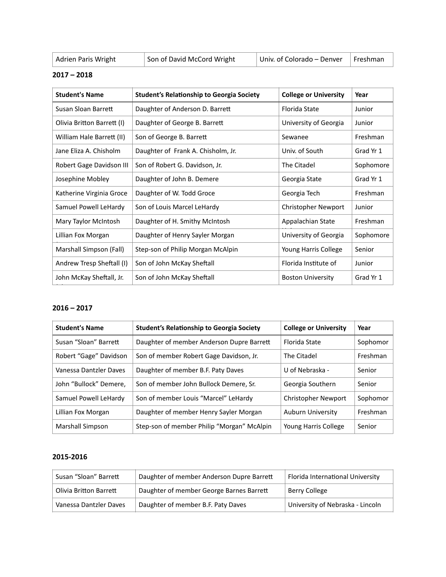| Adrien Paris Wright | Son of David McCord Wright | Univ. of Colorado – Denver Freshman |  |
|---------------------|----------------------------|-------------------------------------|--|
|                     |                            |                                     |  |

#### **2017 – 2018**

| <b>Student's Name</b>      | <b>Student's Relationship to Georgia Society</b> | <b>College or University</b> | Year      |
|----------------------------|--------------------------------------------------|------------------------------|-----------|
| Susan Sloan Barrett        | Daughter of Anderson D. Barrett                  | Florida State                | Junior    |
| Olivia Britton Barrett (I) | Daughter of George B. Barrett                    | University of Georgia        | Junior    |
| William Hale Barrett (II)  | Son of George B. Barrett                         | Sewanee                      | Freshman  |
| Jane Eliza A. Chisholm     | Daughter of Frank A. Chisholm, Jr.               | Univ. of South               | Grad Yr 1 |
| Robert Gage Davidson III   | Son of Robert G. Davidson, Jr.                   | The Citadel                  | Sophomore |
| Josephine Mobley           | Daughter of John B. Demere                       | Georgia State                | Grad Yr 1 |
| Katherine Virginia Groce   | Daughter of W. Todd Groce                        | Georgia Tech                 | Freshman  |
| Samuel Powell LeHardy      | Son of Louis Marcel LeHardy                      | <b>Christopher Newport</b>   | Junior    |
| Mary Taylor McIntosh       | Daughter of H. Smithy McIntosh                   | Appalachian State            | Freshman  |
| Lillian Fox Morgan         | Daughter of Henry Sayler Morgan                  | University of Georgia        | Sophomore |
| Marshall Simpson (Fall)    | Step-son of Philip Morgan McAlpin                | Young Harris College         | Senior    |
| Andrew Tresp Sheftall (I)  | Son of John McKay Sheftall                       | Florida Institute of         | Junior    |
| John McKay Sheftall, Jr.   | Son of John McKay Sheftall                       | <b>Boston University</b>     | Grad Yr 1 |

# **2016 – 2017**

| <b>Student's Name</b>  | <b>Student's Relationship to Georgia Society</b> | <b>College or University</b> | Year     |
|------------------------|--------------------------------------------------|------------------------------|----------|
| Susan "Sloan" Barrett  | Daughter of member Anderson Dupre Barrett        | Florida State                | Sophomor |
| Robert "Gage" Davidson | Son of member Robert Gage Davidson, Jr.          | The Citadel                  | Freshman |
| Vanessa Dantzler Daves | Daughter of member B.F. Paty Daves               | U of Nebraska -              | Senior   |
| John "Bullock" Demere, | Son of member John Bullock Demere, Sr.           | Georgia Southern             | Senior   |
| Samuel Powell LeHardy  | Son of member Louis "Marcel" LeHardy             | <b>Christopher Newport</b>   | Sophomor |
| Lillian Fox Morgan     | Daughter of member Henry Sayler Morgan           | <b>Auburn University</b>     | Freshman |
| Marshall Simpson       | Step-son of member Philip "Morgan" McAlpin       | Young Harris College         | Senior   |

| Susan "Sloan" Barrett  | Daughter of member Anderson Dupre Barrett | Florida International University |
|------------------------|-------------------------------------------|----------------------------------|
| Olivia Britton Barrett | Daughter of member George Barnes Barrett  | Berry College                    |
| Vanessa Dantzler Daves | Daughter of member B.F. Paty Daves        | University of Nebraska - Lincoln |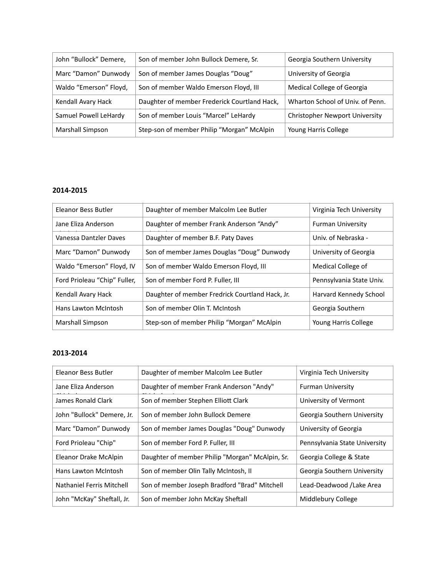| John "Bullock" Demere, | Son of member John Bullock Demere, Sr.       | Georgia Southern University           |
|------------------------|----------------------------------------------|---------------------------------------|
| Marc "Damon" Dunwody   | Son of member James Douglas "Doug"           | University of Georgia                 |
| Waldo "Emerson" Floyd, | Son of member Waldo Emerson Floyd, III       | Medical College of Georgia            |
| Kendall Avary Hack     | Daughter of member Frederick Courtland Hack, | Wharton School of Univ. of Penn.      |
| Samuel Powell LeHardy  | Son of member Louis "Marcel" LeHardy         | <b>Christopher Newport University</b> |
| Marshall Simpson       | Step-son of member Philip "Morgan" McAlpin   | Young Harris College                  |

| Eleanor Bess Butler          | Daughter of member Malcolm Lee Butler           | Virginia Tech University |
|------------------------------|-------------------------------------------------|--------------------------|
| Jane Eliza Anderson          | Daughter of member Frank Anderson "Andy"        | <b>Furman University</b> |
| Vanessa Dantzler Daves       | Daughter of member B.F. Paty Daves              | Univ. of Nebraska -      |
| Marc "Damon" Dunwody         | Son of member James Douglas "Doug" Dunwody      | University of Georgia    |
| Waldo "Emerson" Floyd, IV    | Son of member Waldo Emerson Floyd, III          | Medical College of       |
| Ford Prioleau "Chip" Fuller, | Son of member Ford P. Fuller, III               | Pennsylvania State Univ. |
| Kendall Avary Hack           | Daughter of member Fredrick Courtland Hack, Jr. | Harvard Kennedy School   |
| Hans Lawton McIntosh         | Son of member Olin T. McIntosh                  | Georgia Southern         |
| Marshall Simpson             | Step-son of member Philip "Morgan" McAlpin      | Young Harris College     |

| Eleanor Bess Butler        | Daughter of member Malcolm Lee Butler           | Virginia Tech University      |
|----------------------------|-------------------------------------------------|-------------------------------|
| Jane Eliza Anderson        | Daughter of member Frank Anderson "Andy"        | <b>Furman University</b>      |
| James Ronald Clark         | Son of member Stephen Elliott Clark             | University of Vermont         |
| John "Bullock" Demere, Jr. | Son of member John Bullock Demere               | Georgia Southern University   |
| Marc "Damon" Dunwody       | Son of member James Douglas "Doug" Dunwody      | University of Georgia         |
| Ford Prioleau "Chip"       | Son of member Ford P. Fuller, III               | Pennsylvania State University |
| Eleanor Drake McAlpin      | Daughter of member Philip "Morgan" McAlpin, Sr. | Georgia College & State       |
| Hans Lawton McIntosh       | Son of member Olin Tally McIntosh, II           | Georgia Southern University   |
| Nathaniel Ferris Mitchell  | Son of member Joseph Bradford "Brad" Mitchell   | Lead-Deadwood /Lake Area      |
| John "McKay" Sheftall, Jr. | Son of member John McKay Sheftall               | Middlebury College            |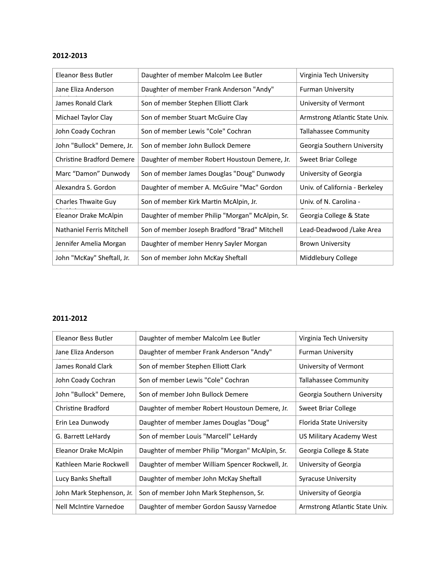| Eleanor Bess Butler              | Daughter of member Malcolm Lee Butler           | Virginia Tech University       |
|----------------------------------|-------------------------------------------------|--------------------------------|
| Jane Eliza Anderson              | Daughter of member Frank Anderson "Andy"        | <b>Furman University</b>       |
| James Ronald Clark               | Son of member Stephen Elliott Clark             | University of Vermont          |
| Michael Taylor Clay              | Son of member Stuart McGuire Clay               | Armstrong Atlantic State Univ. |
| John Coady Cochran               | Son of member Lewis "Cole" Cochran              | <b>Tallahassee Community</b>   |
| John "Bullock" Demere, Jr.       | Son of member John Bullock Demere               | Georgia Southern University    |
| <b>Christine Bradford Demere</b> | Daughter of member Robert Houstoun Demere, Jr.  | Sweet Briar College            |
| Marc "Damon" Dunwody             | Son of member James Douglas "Doug" Dunwody      | University of Georgia          |
| Alexandra S. Gordon              | Daughter of member A. McGuire "Mac" Gordon      | Univ. of California - Berkeley |
| <b>Charles Thwaite Guy</b>       | Son of member Kirk Martin McAlpin, Jr.          | Univ. of N. Carolina -         |
| Eleanor Drake McAlpin            | Daughter of member Philip "Morgan" McAlpin, Sr. | Georgia College & State        |
| Nathaniel Ferris Mitchell        | Son of member Joseph Bradford "Brad" Mitchell   | Lead-Deadwood /Lake Area       |
| Jennifer Amelia Morgan           | Daughter of member Henry Sayler Morgan          | <b>Brown University</b>        |
| John "McKay" Sheftall, Jr.       | Son of member John McKay Sheftall               | Middlebury College             |

| Eleanor Bess Butler       | Daughter of member Malcolm Lee Butler            | Virginia Tech University       |
|---------------------------|--------------------------------------------------|--------------------------------|
| Jane Eliza Anderson       | Daughter of member Frank Anderson "Andy"         | <b>Furman University</b>       |
| James Ronald Clark        | Son of member Stephen Elliott Clark              | University of Vermont          |
| John Coady Cochran        | Son of member Lewis "Cole" Cochran               | <b>Tallahassee Community</b>   |
| John "Bullock" Demere,    | Son of member John Bullock Demere                | Georgia Southern University    |
| Christine Bradford        | Daughter of member Robert Houstoun Demere, Jr.   | Sweet Briar College            |
| Erin Lea Dunwody          | Daughter of member James Douglas "Doug"          | Florida State University       |
| G. Barrett LeHardy        | Son of member Louis "Marcell" LeHardy            | US Military Academy West       |
| Eleanor Drake McAlpin     | Daughter of member Philip "Morgan" McAlpin, Sr.  | Georgia College & State        |
| Kathleen Marie Rockwell   | Daughter of member William Spencer Rockwell, Jr. | University of Georgia          |
| Lucy Banks Sheftall       | Daughter of member John McKay Sheftall           | Syracuse University            |
| John Mark Stephenson, Jr. | Son of member John Mark Stephenson, Sr.          | University of Georgia          |
| Nell McIntire Varnedoe    | Daughter of member Gordon Saussy Varnedoe        | Armstrong Atlantic State Univ. |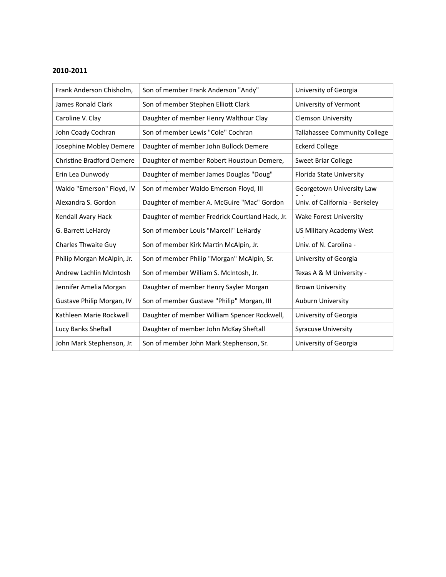| Frank Anderson Chisholm,         | Son of member Frank Anderson "Andy"             | University of Georgia          |
|----------------------------------|-------------------------------------------------|--------------------------------|
| James Ronald Clark               | Son of member Stephen Elliott Clark             | University of Vermont          |
| Caroline V. Clay                 | Daughter of member Henry Walthour Clay          | <b>Clemson University</b>      |
| John Coady Cochran               | Son of member Lewis "Cole" Cochran              | Tallahassee Community College  |
| Josephine Mobley Demere          | Daughter of member John Bullock Demere          | <b>Eckerd College</b>          |
| <b>Christine Bradford Demere</b> | Daughter of member Robert Houstoun Demere,      | Sweet Briar College            |
| Erin Lea Dunwody                 | Daughter of member James Douglas "Doug"         | Florida State University       |
| Waldo "Emerson" Floyd, IV        | Son of member Waldo Emerson Floyd, III          | Georgetown University Law      |
| Alexandra S. Gordon              | Daughter of member A. McGuire "Mac" Gordon      | Univ. of California - Berkeley |
| Kendall Avary Hack               | Daughter of member Fredrick Courtland Hack, Jr. | <b>Wake Forest University</b>  |
| G. Barrett LeHardy               | Son of member Louis "Marcell" LeHardy           | US Military Academy West       |
| Charles Thwaite Guy              | Son of member Kirk Martin McAlpin, Jr.          | Univ. of N. Carolina -         |
| Philip Morgan McAlpin, Jr.       | Son of member Philip "Morgan" McAlpin, Sr.      | University of Georgia          |
| Andrew Lachlin McIntosh          | Son of member William S. McIntosh, Jr.          | Texas A & M University -       |
| Jennifer Amelia Morgan           | Daughter of member Henry Sayler Morgan          | <b>Brown University</b>        |
| Gustave Philip Morgan, IV        | Son of member Gustave "Philip" Morgan, III      | <b>Auburn University</b>       |
| Kathleen Marie Rockwell          | Daughter of member William Spencer Rockwell,    | University of Georgia          |
| Lucy Banks Sheftall              | Daughter of member John McKay Sheftall          | <b>Syracuse University</b>     |
| John Mark Stephenson, Jr.        | Son of member John Mark Stephenson, Sr.         | University of Georgia          |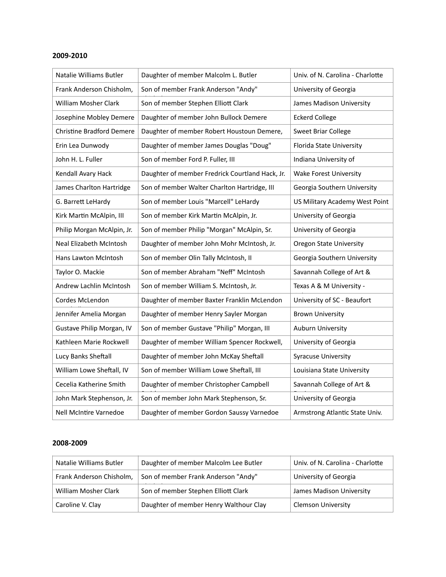| Natalie Williams Butler          | Daughter of member Malcolm L. Butler            | Univ. of N. Carolina - Charlotte |
|----------------------------------|-------------------------------------------------|----------------------------------|
| Frank Anderson Chisholm,         | Son of member Frank Anderson "Andy"             | University of Georgia            |
| William Mosher Clark             | Son of member Stephen Elliott Clark             | James Madison University         |
| Josephine Mobley Demere          | Daughter of member John Bullock Demere          | <b>Eckerd College</b>            |
| <b>Christine Bradford Demere</b> | Daughter of member Robert Houstoun Demere,      | Sweet Briar College              |
| Erin Lea Dunwody                 | Daughter of member James Douglas "Doug"         | Florida State University         |
| John H. L. Fuller                | Son of member Ford P. Fuller, III               | Indiana University of            |
| Kendall Avary Hack               | Daughter of member Fredrick Courtland Hack, Jr. | <b>Wake Forest University</b>    |
| James Charlton Hartridge         | Son of member Walter Charlton Hartridge, III    | Georgia Southern University      |
| G. Barrett LeHardy               | Son of member Louis "Marcell" LeHardy           | US Military Academy West Point   |
| Kirk Martin McAlpin, III         | Son of member Kirk Martin McAlpin, Jr.          | University of Georgia            |
| Philip Morgan McAlpin, Jr.       | Son of member Philip "Morgan" McAlpin, Sr.      | University of Georgia            |
| Neal Elizabeth McIntosh          | Daughter of member John Mohr McIntosh, Jr.      | <b>Oregon State University</b>   |
| Hans Lawton McIntosh             | Son of member Olin Tally McIntosh, II           | Georgia Southern University      |
| Taylor O. Mackie                 | Son of member Abraham "Neff" McIntosh           | Savannah College of Art &        |
| Andrew Lachlin McIntosh          | Son of member William S. McIntosh, Jr.          | Texas A & M University -         |
| Cordes McLendon                  | Daughter of member Baxter Franklin McLendon     | University of SC - Beaufort      |
| Jennifer Amelia Morgan           | Daughter of member Henry Sayler Morgan          | <b>Brown University</b>          |
| Gustave Philip Morgan, IV        | Son of member Gustave "Philip" Morgan, III      | Auburn University                |
| Kathleen Marie Rockwell          | Daughter of member William Spencer Rockwell,    | University of Georgia            |
| Lucy Banks Sheftall              | Daughter of member John McKay Sheftall          | <b>Syracuse University</b>       |
| William Lowe Sheftall, IV        | Son of member William Lowe Sheftall, III        | Louisiana State University       |
| Cecelia Katherine Smith          | Daughter of member Christopher Campbell         | Savannah College of Art &        |
| John Mark Stephenson, Jr.        | Son of member John Mark Stephenson, Sr.         | University of Georgia            |
| Nell McIntire Varnedoe           | Daughter of member Gordon Saussy Varnedoe       | Armstrong Atlantic State Univ.   |

| Natalie Williams Butler     | Daughter of member Malcolm Lee Butler  | Univ. of N. Carolina - Charlotte |
|-----------------------------|----------------------------------------|----------------------------------|
| Frank Anderson Chisholm,    | Son of member Frank Anderson "Andy"    | University of Georgia            |
| <b>William Mosher Clark</b> | Son of member Stephen Elliott Clark    | James Madison University         |
| Caroline V. Clay            | Daughter of member Henry Walthour Clay | Clemson University               |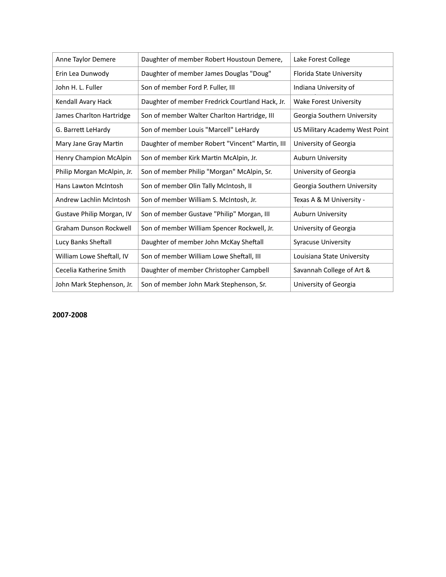| Anne Taylor Demere          | Daughter of member Robert Houstoun Demere,      | Lake Forest College            |
|-----------------------------|-------------------------------------------------|--------------------------------|
| Erin Lea Dunwody            | Daughter of member James Douglas "Doug"         | Florida State University       |
| John H. L. Fuller           | Son of member Ford P. Fuller, III               | Indiana University of          |
| Kendall Avary Hack          | Daughter of member Fredrick Courtland Hack, Jr. | Wake Forest University         |
| James Charlton Hartridge    | Son of member Walter Charlton Hartridge, III    | Georgia Southern University    |
| G. Barrett LeHardy          | Son of member Louis "Marcell" LeHardy           | US Military Academy West Point |
| Mary Jane Gray Martin       | Daughter of member Robert "Vincent" Martin, III | University of Georgia          |
| Henry Champion McAlpin      | Son of member Kirk Martin McAlpin, Jr.          | Auburn University              |
| Philip Morgan McAlpin, Jr.  | Son of member Philip "Morgan" McAlpin, Sr.      | University of Georgia          |
| <b>Hans Lawton McIntosh</b> | Son of member Olin Tally McIntosh, II           | Georgia Southern University    |
| Andrew Lachlin McIntosh     | Son of member William S. McIntosh, Jr.          | Texas A & M University -       |
| Gustave Philip Morgan, IV   | Son of member Gustave "Philip" Morgan, III      | Auburn University              |
| Graham Dunson Rockwell      | Son of member William Spencer Rockwell, Jr.     | University of Georgia          |
| Lucy Banks Sheftall         | Daughter of member John McKay Sheftall          | <b>Syracuse University</b>     |
| William Lowe Sheftall, IV   | Son of member William Lowe Sheftall, III        | Louisiana State University     |
| Cecelia Katherine Smith     | Daughter of member Christopher Campbell         | Savannah College of Art &      |
| John Mark Stephenson, Jr.   | Son of member John Mark Stephenson, Sr.         | University of Georgia          |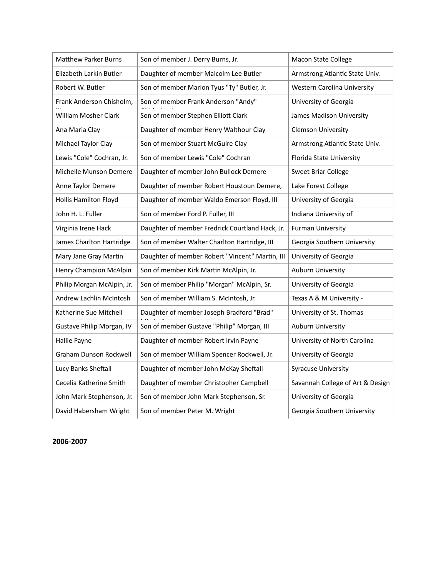| <b>Matthew Parker Burns</b>   | Son of member J. Derry Burns, Jr.               | <b>Macon State College</b>       |
|-------------------------------|-------------------------------------------------|----------------------------------|
| Elizabeth Larkin Butler       | Daughter of member Malcolm Lee Butler           | Armstrong Atlantic State Univ.   |
| Robert W. Butler              | Son of member Marion Tyus "Ty" Butler, Jr.      | Western Carolina University      |
| Frank Anderson Chisholm,      | Son of member Frank Anderson "Andy"             | University of Georgia            |
| William Mosher Clark          | Son of member Stephen Elliott Clark             | James Madison University         |
| Ana Maria Clay                | Daughter of member Henry Walthour Clay          | <b>Clemson University</b>        |
| Michael Taylor Clay           | Son of member Stuart McGuire Clay               | Armstrong Atlantic State Univ.   |
| Lewis "Cole" Cochran, Jr.     | Son of member Lewis "Cole" Cochran              | Florida State University         |
| Michelle Munson Demere        | Daughter of member John Bullock Demere          | Sweet Briar College              |
| Anne Taylor Demere            | Daughter of member Robert Houstoun Demere,      | Lake Forest College              |
| <b>Hollis Hamilton Floyd</b>  | Daughter of member Waldo Emerson Floyd, III     | University of Georgia            |
| John H. L. Fuller             | Son of member Ford P. Fuller, III               | Indiana University of            |
| Virginia Irene Hack           | Daughter of member Fredrick Courtland Hack, Jr. | <b>Furman University</b>         |
| James Charlton Hartridge      | Son of member Walter Charlton Hartridge, III    | Georgia Southern University      |
| Mary Jane Gray Martin         | Daughter of member Robert "Vincent" Martin, III | University of Georgia            |
| Henry Champion McAlpin        | Son of member Kirk Martin McAlpin, Jr.          | <b>Auburn University</b>         |
| Philip Morgan McAlpin, Jr.    | Son of member Philip "Morgan" McAlpin, Sr.      | University of Georgia            |
| Andrew Lachlin McIntosh       | Son of member William S. McIntosh, Jr.          | Texas A & M University -         |
| Katherine Sue Mitchell        | Daughter of member Joseph Bradford "Brad"       | University of St. Thomas         |
| Gustave Philip Morgan, IV     | Son of member Gustave "Philip" Morgan, III      | Auburn University                |
| Hallie Payne                  | Daughter of member Robert Irvin Payne           | University of North Carolina     |
| <b>Graham Dunson Rockwell</b> | Son of member William Spencer Rockwell, Jr.     | University of Georgia            |
| Lucy Banks Sheftall           | Daughter of member John McKay Sheftall          | <b>Syracuse University</b>       |
| Cecelia Katherine Smith       | Daughter of member Christopher Campbell         | Savannah College of Art & Design |
| John Mark Stephenson, Jr.     | Son of member John Mark Stephenson, Sr.         | University of Georgia            |
| David Habersham Wright        | Son of member Peter M. Wright                   | Georgia Southern University      |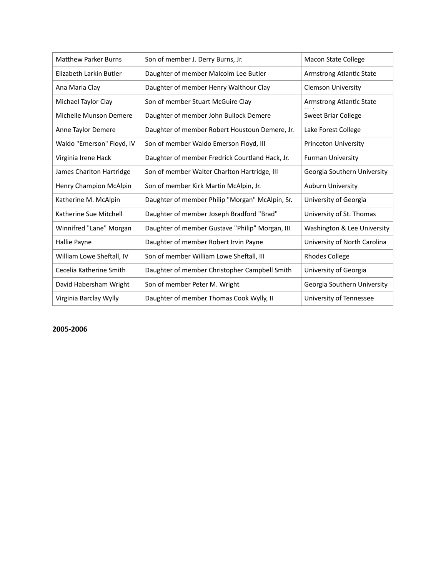| <b>Matthew Parker Burns</b> | Son of member J. Derry Burns, Jr.               | Macon State College          |
|-----------------------------|-------------------------------------------------|------------------------------|
| Elizabeth Larkin Butler     | Daughter of member Malcolm Lee Butler           | Armstrong Atlantic State     |
| Ana Maria Clay              | Daughter of member Henry Walthour Clay          | <b>Clemson University</b>    |
| Michael Taylor Clay         | Son of member Stuart McGuire Clay               | Armstrong Atlantic State     |
| Michelle Munson Demere      | Daughter of member John Bullock Demere          | Sweet Briar College          |
| Anne Taylor Demere          | Daughter of member Robert Houstoun Demere, Jr.  | Lake Forest College          |
| Waldo "Emerson" Floyd, IV   | Son of member Waldo Emerson Floyd, III          | <b>Princeton University</b>  |
| Virginia Irene Hack         | Daughter of member Fredrick Courtland Hack, Jr. | <b>Furman University</b>     |
| James Charlton Hartridge    | Son of member Walter Charlton Hartridge, III    | Georgia Southern University  |
| Henry Champion McAlpin      | Son of member Kirk Martin McAlpin, Jr.          | <b>Auburn University</b>     |
| Katherine M. McAlpin        | Daughter of member Philip "Morgan" McAlpin, Sr. | University of Georgia        |
| Katherine Sue Mitchell      | Daughter of member Joseph Bradford "Brad"       | University of St. Thomas     |
| Winnifred "Lane" Morgan     | Daughter of member Gustave "Philip" Morgan, III | Washington & Lee University  |
| Hallie Payne                | Daughter of member Robert Irvin Payne           | University of North Carolina |
| William Lowe Sheftall, IV   | Son of member William Lowe Sheftall, III        | <b>Rhodes College</b>        |
| Cecelia Katherine Smith     | Daughter of member Christopher Campbell Smith   | University of Georgia        |
| David Habersham Wright      | Son of member Peter M. Wright                   | Georgia Southern University  |
| Virginia Barclay Wylly      | Daughter of member Thomas Cook Wylly, II        | University of Tennessee      |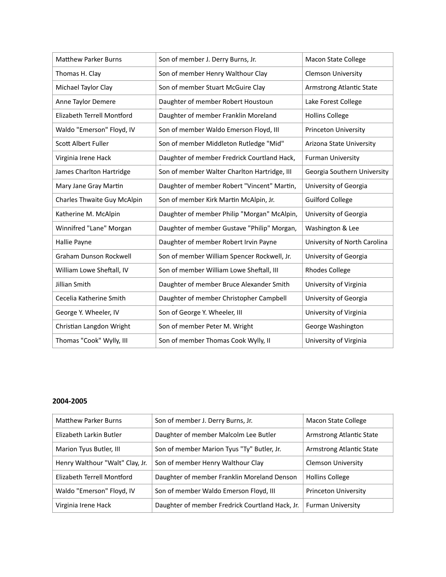| <b>Matthew Parker Burns</b>       | Son of member J. Derry Burns, Jr.            | <b>Macon State College</b>   |
|-----------------------------------|----------------------------------------------|------------------------------|
| Thomas H. Clay                    | Son of member Henry Walthour Clay            | <b>Clemson University</b>    |
| Michael Taylor Clay               | Son of member Stuart McGuire Clay            | Armstrong Atlantic State     |
| Anne Taylor Demere                | Daughter of member Robert Houstoun           | Lake Forest College          |
| <b>Elizabeth Terrell Montford</b> | Daughter of member Franklin Moreland         | <b>Hollins College</b>       |
| Waldo "Emerson" Floyd, IV         | Son of member Waldo Emerson Floyd, III       | <b>Princeton University</b>  |
| Scott Albert Fuller               | Son of member Middleton Rutledge "Mid"       | Arizona State University     |
| Virginia Irene Hack               | Daughter of member Fredrick Courtland Hack,  | <b>Furman University</b>     |
| James Charlton Hartridge          | Son of member Walter Charlton Hartridge, III | Georgia Southern University  |
| Mary Jane Gray Martin             | Daughter of member Robert "Vincent" Martin,  | University of Georgia        |
| Charles Thwaite Guy McAlpin       | Son of member Kirk Martin McAlpin, Jr.       | <b>Guilford College</b>      |
| Katherine M. McAlpin              | Daughter of member Philip "Morgan" McAlpin,  | University of Georgia        |
| Winnifred "Lane" Morgan           | Daughter of member Gustave "Philip" Morgan,  | Washington & Lee             |
| Hallie Payne                      | Daughter of member Robert Irvin Payne        | University of North Carolina |
| Graham Dunson Rockwell            | Son of member William Spencer Rockwell, Jr.  | University of Georgia        |
| William Lowe Sheftall, IV         | Son of member William Lowe Sheftall, III     | <b>Rhodes College</b>        |
| Jillian Smith                     | Daughter of member Bruce Alexander Smith     | University of Virginia       |
| Cecelia Katherine Smith           | Daughter of member Christopher Campbell      | University of Georgia        |
| George Y. Wheeler, IV             | Son of George Y. Wheeler, III                | University of Virginia       |
| Christian Langdon Wright          | Son of member Peter M. Wright                | George Washington            |
| Thomas "Cook" Wylly, III          | Son of member Thomas Cook Wylly, II          | University of Virginia       |

| <b>Matthew Parker Burns</b>     | Son of member J. Derry Burns, Jr.               | Macon State College       |
|---------------------------------|-------------------------------------------------|---------------------------|
| Elizabeth Larkin Butler         | Daughter of member Malcolm Lee Butler           | Armstrong Atlantic State  |
| Marion Tyus Butler, III         | Son of member Marion Tyus "Ty" Butler, Jr.      | Armstrong Atlantic State  |
| Henry Walthour "Walt" Clay, Jr. | Son of member Henry Walthour Clay               | <b>Clemson University</b> |
| Elizabeth Terrell Montford      | Daughter of member Franklin Moreland Denson     | <b>Hollins College</b>    |
| Waldo "Emerson" Floyd, IV       | Son of member Waldo Emerson Floyd, III          | Princeton University      |
| Virginia Irene Hack             | Daughter of member Fredrick Courtland Hack, Jr. | <b>Furman University</b>  |